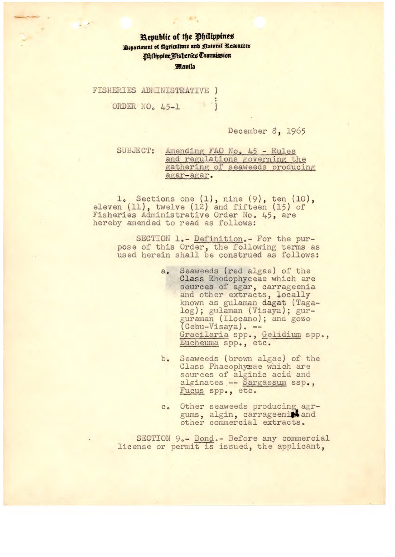## **Republic of the Ohilippines i**Bepariment of **Agriculture** and **P**atural Resources **Idilippine Wisheries Commission** Manila

FISHERIES ADMINISTRATIVE )  $\cdot$  ; ORDER NO. 45-1

December 8, *1965* 

SUBJECT: Amending FAO No. 45 - Rules and regulations governing the athering of seaweeds producing agar-agar,

1. Sections one (1), nine (9), ten (10), eleven (11), twelve (12) and fifteen (15) of Fisheries Administrative Order No. 45, are hereby amended to read as follows:

> SECTION 1.- Definition,- For the purpose of this Order, the following terms as used herein shall be construed as follows:

- a. Seaweeds (red algae) of the Class Rhodophyceae which are sources of agar, carrageenia and other extracts, locally known as gulaman dagat (Tagalog); gulaman (Visaya); gurguraman (Ilocano); and gozo guraman (11ocano);<br>(Cebu-Visaya). --Gracilaria spp., Gelidium spp., Eucheuma spp., etc.
- b, Seaweeds (brown algae) of the Class Phaeophyceae which are sources of alginic acid and alginates -- Sargassum ssp., Fucus spp., etc.
- c. Other seaweeds producing agrgums, algin, carrageeni<sup>s</sup> and other commercial extracts.

SECTION 9.— Bond.- Before any commercial license or permit is issued, the applicant,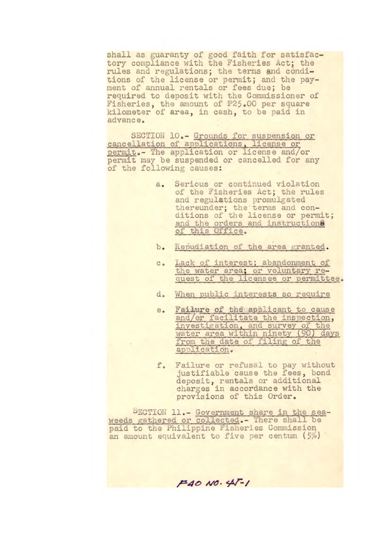shall as guaranty of good faith for satisfactory compliance with the Fisheries Act; the rules and regulations; the terms and conditions of the license or permit; and the payment of annual rentals or fees due; be required to deposit with the Commissioner of Fisheries, the amount of #25.00 per square kilometer of area, in cash, to be paid in advance.

SECTION 10.- Grounds for suspension or cancellation of applications, license or permit,- The application or license and/or permit may be suspended or cancelled for any of the following causes:

- a. Serious or continued violation of the Fisheries Act; the rules and regulations promulgated thereunder; the terms and conditions of the license or permit; and the orders and instructions of this Office,
- b. Repudiation of the area granted.
- c. Lack of interest; abandonment of the water area; or voluntary request of the licensee or permittee.
- d, when public interests so require
- e. Failure of the applicant to cause and/or facilitate the inspection, investigation, and survey of the water area within ninety (90) from the date of filing of the application.
- f. Failure or refusel to pay without justifiable cause the fees, bond deposit, rentals or additional charges in accordance with the provisions of this Order.

ECTION 11.- Government share in the seaweeds gathered or collected.- There shall be paid to the Philippine Fisheries Commission an amount equivalent to five per centum  $(5%)$ 

**,=40 l'C** W-/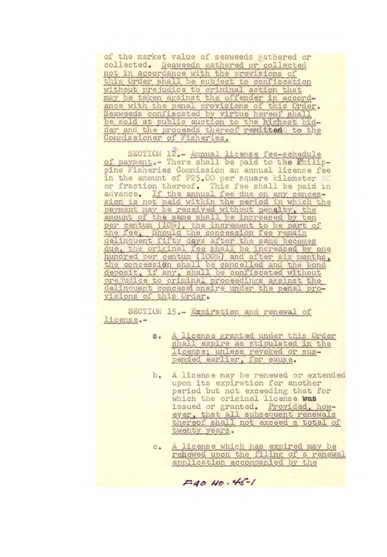of the market value of seaweeds gathered or collected. Seaweeds gathered or collected not in accordance with the provisions of<br>this Order shall be subject to confiscation<br>without prejudice to criminal action that may be taken against the offender in accordance with the penal provisions of this Order. Seaweeds confiscated by virtue hereof shall<br>be sold at public auction to the highest bid-<br>der and the proceeds thereof remitted to the<br>Commissioner of Fisheries.

SECTION 12.- Annual license fee-schedule of payment.- There shall be paid to the Philippine Fisheries Commission an annual license fee in the amount of #25.00 per square kilometer or fraction thereof. This fee shall be paid in advance. If the annual fee due on any concession is not paid within the period in which the payment may be received without penalty, the amount of the same shall be increased by ten per centum (10%), the increment to be part of the fee, Should the concession fee remain delinquent fifty days after the same becomes<br>due, the original fee shall be increased by one<br>hundred per centum (100%) and after six months,<br>the concession shall be cancelled and the bond deposit, if any, shall be confiscated without prejudice to criminal proceedings against the delinquent concessionaire under the penal provisions of this Order.

SECTION 15.- Expiration and renewal of license.-

- A license granted under this Order  $a.$ shall expire as stipulated in the license; unless revoked or suspended earlier, for cause.
- $b_{\circ}$ A license may be renewed or extended upon its expiration for another period but not exceeding that for which the original license was issued or granted. Provided, however, that all subsequent renewals thereof shall not exceed a total of twenty years.
- A license which has expired may be  $c_{\cdot}$ rehewed upon the filing of a renewal application accompanied by the

 $F4010.45-1$